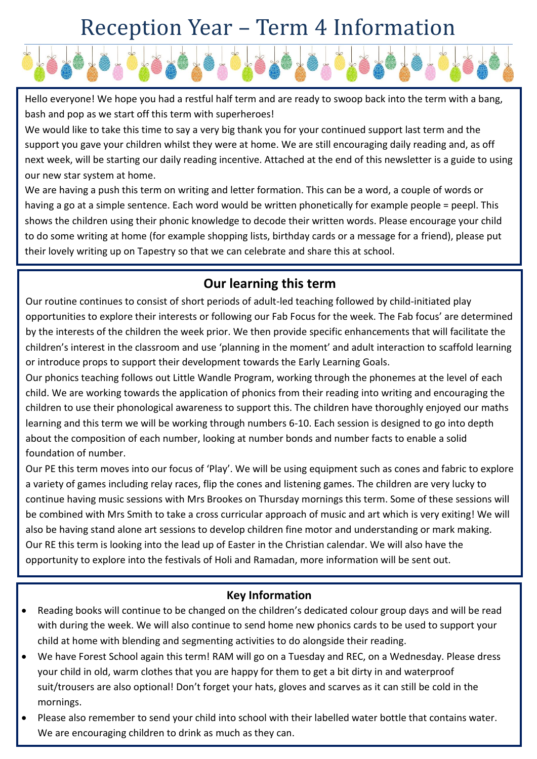## Reception Year – Term 4 Information



Hello everyone! We hope you had a restful half term and are ready to swoop back into the term with a bang, bash and pop as we start off this term with superheroes!

We would like to take this time to say a very big thank you for your continued support last term and the support you gave your children whilst they were at home. We are still encouraging daily reading and, as off next week, will be starting our daily reading incentive. Attached at the end of this newsletter is a guide to using our new star system at home.

We are having a push this term on writing and letter formation. This can be a word, a couple of words or having a go at a simple sentence. Each word would be written phonetically for example people = peepl. This shows the children using their phonic knowledge to decode their written words. Please encourage your child to do some writing at home (for example shopping lists, birthday cards or a message for a friend), please put their lovely writing up on Tapestry so that we can celebrate and share this at school.

## **Our learning this term**

Our routine continues to consist of short periods of adult-led teaching followed by child-initiated play opportunities to explore their interests or following our Fab Focus for the week. The Fab focus' are determined by the interests of the children the week prior. We then provide specific enhancements that will facilitate the children's interest in the classroom and use 'planning in the moment' and adult interaction to scaffold learning or introduce props to support their development towards the Early Learning Goals.

Our phonics teaching follows out Little Wandle Program, working through the phonemes at the level of each child. We are working towards the application of phonics from their reading into writing and encouraging the children to use their phonological awareness to support this. The children have thoroughly enjoyed our maths learning and this term we will be working through numbers 6-10. Each session is designed to go into depth about the composition of each number, looking at number bonds and number facts to enable a solid foundation of number.

Our PE this term moves into our focus of 'Play'. We will be using equipment such as cones and fabric to explore a variety of games including relay races, flip the cones and listening games. The children are very lucky to continue having music sessions with Mrs Brookes on Thursday mornings this term. Some of these sessions will be combined with Mrs Smith to take a cross curricular approach of music and art which is very exiting! We will also be having stand alone art sessions to develop children fine motor and understanding or mark making. Our RE this term is looking into the lead up of Easter in the Christian calendar. We will also have the opportunity to explore into the festivals of Holi and Ramadan, more information will be sent out.

## **Key Information**

- Reading books will continue to be changed on the children's dedicated colour group days and will be read with during the week. We will also continue to send home new phonics cards to be used to support your child at home with blending and segmenting activities to do alongside their reading.
- We have Forest School again this term! RAM will go on a Tuesday and REC, on a Wednesday. Please dress your child in old, warm clothes that you are happy for them to get a bit dirty in and waterproof suit/trousers are also optional! Don't forget your hats, gloves and scarves as it can still be cold in the mornings.
- Please also remember to send your child into school with their labelled water bottle that contains water. We are encouraging children to drink as much as they can.